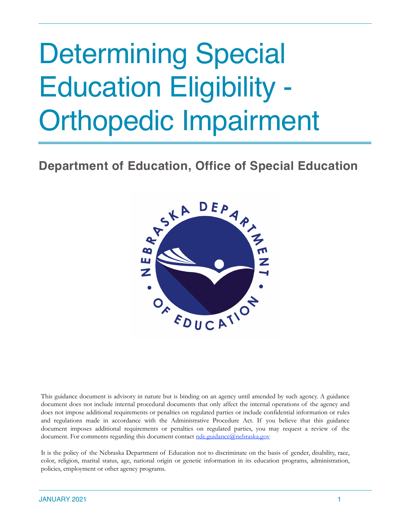# Determining Special Education Eligibility - Orthopedic Impairment

## **Department of Education, Office of Special Education**



This guidance document is advisory in nature but is binding on an agency until amended by such agency. A guidance document does not include internal procedural documents that only affect the internal operations of the agency and does not impose additional requirements or penalties on regulated parties or include confidential information or rules and regulations made in accordance with the Administrative Procedure Act. If you believe that this guidance document imposes additional requirements or penalties on regulated parties, you may request a review of the document. For comments regarding this document contact [nde.guidance@nebraska.gov](mailto:nde.guidance@nebraska.gov)

It is the policy of the Nebraska Department of Education not to discriminate on the basis of gender, disability, race, color, religion, marital status, age, national origin or genetic information in its education programs, administration, policies, employment or other agency programs.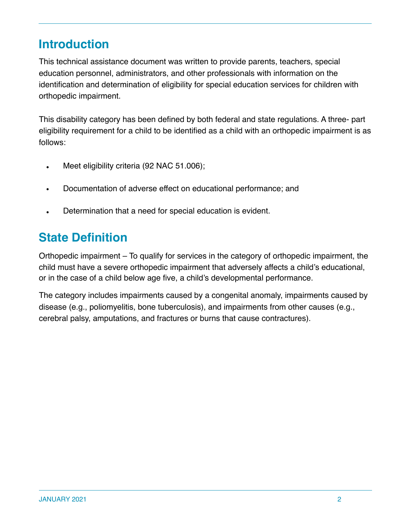# **Introduction**

This technical assistance document was written to provide parents, teachers, special education personnel, administrators, and other professionals with information on the identification and determination of eligibility for special education services for children with orthopedic impairment.

This disability category has been defined by both federal and state regulations. A three- part eligibility requirement for a child to be identified as a child with an orthopedic impairment is as follows:

- Meet eligibility criteria (92 NAC 51.006);
- Documentation of adverse effect on educational performance; and
- Determination that a need for special education is evident.

## **State Definition**

Orthopedic impairment – To qualify for services in the category of orthopedic impairment, the child must have a severe orthopedic impairment that adversely affects a child's educational, or in the case of a child below age five, a child's developmental performance.

The category includes impairments caused by a congenital anomaly, impairments caused by disease (e.g., poliomyelitis, bone tuberculosis), and impairments from other causes (e.g., cerebral palsy, amputations, and fractures or burns that cause contractures).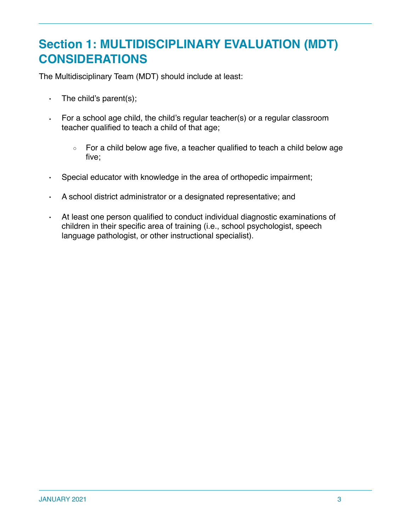## **Section 1: MULTIDISCIPLINARY EVALUATION (MDT) CONSIDERATIONS**

The Multidisciplinary Team (MDT) should include at least:

- $\cdot$  The child's parent(s);
- For a school age child, the child's regular teacher(s) or a regular classroom teacher qualified to teach a child of that age;
	- For a child below age five, a teacher qualified to teach a child below age five;
- Special educator with knowledge in the area of orthopedic impairment;
- A school district administrator or a designated representative; and
- At least one person qualified to conduct individual diagnostic examinations of children in their specific area of training (i.e., school psychologist, speech language pathologist, or other instructional specialist).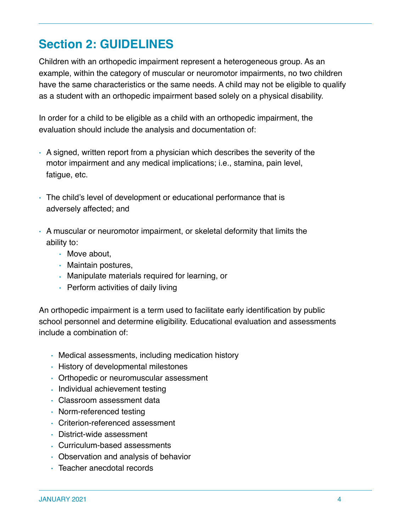# **Section 2: GUIDELINES**

Children with an orthopedic impairment represent a heterogeneous group. As an example, within the category of muscular or neuromotor impairments, no two children have the same characteristics or the same needs. A child may not be eligible to qualify as a student with an orthopedic impairment based solely on a physical disability.

In order for a child to be eligible as a child with an orthopedic impairment, the evaluation should include the analysis and documentation of:

- A signed, written report from a physician which describes the severity of the motor impairment and any medical implications; i.e., stamina, pain level, fatigue, etc.
- The child's level of development or educational performance that is adversely affected; and
- A muscular or neuromotor impairment, or skeletal deformity that limits the ability to:
	- Move about,
	- Maintain postures,
	- Manipulate materials required for learning, or
	- Perform activities of daily living

An orthopedic impairment is a term used to facilitate early identification by public school personnel and determine eligibility. Educational evaluation and assessments include a combination of:

- Medical assessments, including medication history
- History of developmental milestones
- Orthopedic or neuromuscular assessment
- Individual achievement testing
- Classroom assessment data
- Norm-referenced testing
- Criterion-referenced assessment
- District-wide assessment
- Curriculum-based assessments
- Observation and analysis of behavior
- Teacher anecdotal records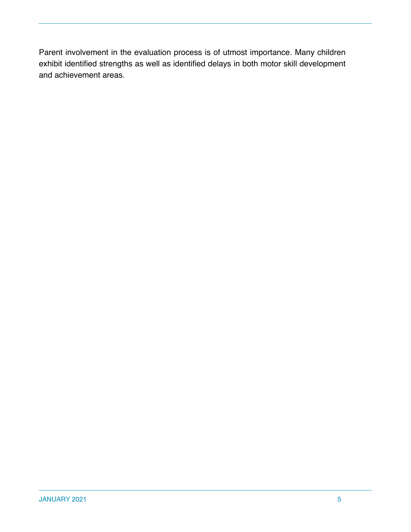Parent involvement in the evaluation process is of utmost importance. Many children exhibit identified strengths as well as identified delays in both motor skill development and achievement areas.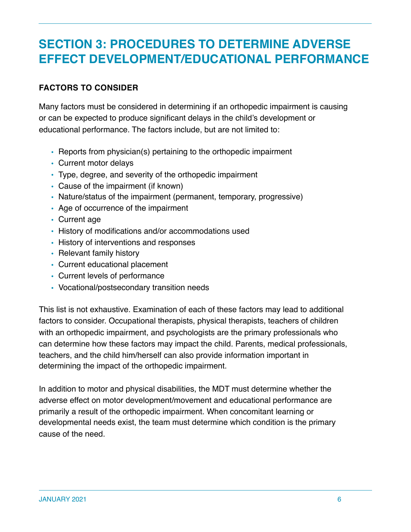## **SECTION 3: PROCEDURES TO DETERMINE ADVERSE EFFECT DEVELOPMENT/EDUCATIONAL PERFORMANCE**

## **FACTORS TO CONSIDER**

Many factors must be considered in determining if an orthopedic impairment is causing or can be expected to produce significant delays in the child's development or educational performance. The factors include, but are not limited to:

- Reports from physician(s) pertaining to the orthopedic impairment
- Current motor delays
- Type, degree, and severity of the orthopedic impairment
- Cause of the impairment (if known)
- Nature/status of the impairment (permanent, temporary, progressive)
- Age of occurrence of the impairment
- Current age
- History of modifications and/or accommodations used
- History of interventions and responses
- Relevant family history
- Current educational placement
- Current levels of performance
- Vocational/postsecondary transition needs

This list is not exhaustive. Examination of each of these factors may lead to additional factors to consider. Occupational therapists, physical therapists, teachers of children with an orthopedic impairment, and psychologists are the primary professionals who can determine how these factors may impact the child. Parents, medical professionals, teachers, and the child him/herself can also provide information important in determining the impact of the orthopedic impairment.

In addition to motor and physical disabilities, the MDT must determine whether the adverse effect on motor development/movement and educational performance are primarily a result of the orthopedic impairment. When concomitant learning or developmental needs exist, the team must determine which condition is the primary cause of the need.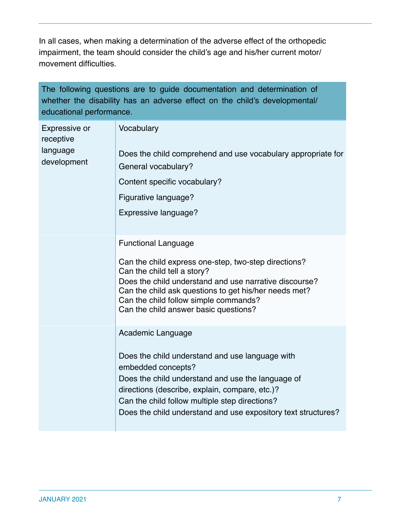In all cases, when making a determination of the adverse effect of the orthopedic impairment, the team should consider the child's age and his/her current motor/ movement difficulties.

The following questions are to guide documentation and determination of whether the disability has an adverse effect on the child's developmental/ educational performance.

| Expressive or<br>receptive<br>language<br>development | Vocabulary<br>Does the child comprehend and use vocabulary appropriate for<br>General vocabulary?<br>Content specific vocabulary?<br>Figurative language?<br>Expressive language?                                                                                                                                      |  |
|-------------------------------------------------------|------------------------------------------------------------------------------------------------------------------------------------------------------------------------------------------------------------------------------------------------------------------------------------------------------------------------|--|
|                                                       | <b>Functional Language</b><br>Can the child express one-step, two-step directions?<br>Can the child tell a story?<br>Does the child understand and use narrative discourse?<br>Can the child ask questions to get his/her needs met?<br>Can the child follow simple commands?<br>Can the child answer basic questions? |  |
|                                                       | Academic Language<br>Does the child understand and use language with<br>embedded concepts?<br>Does the child understand and use the language of<br>directions (describe, explain, compare, etc.)?<br>Can the child follow multiple step directions?<br>Does the child understand and use expository text structures?   |  |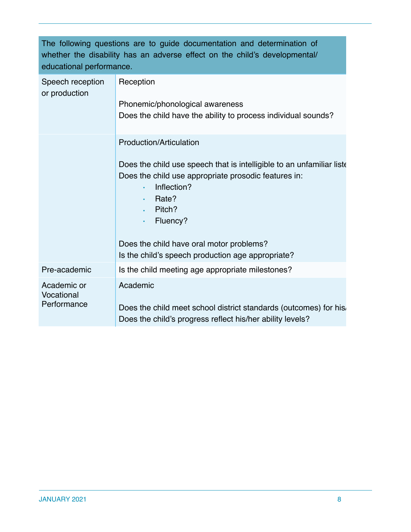| The following questions are to quide documentation and determination of    |
|----------------------------------------------------------------------------|
| whether the disability has an adverse effect on the child's developmental/ |
| educational performance.                                                   |

| Speech reception<br>or production        | Reception<br>Phonemic/phonological awareness<br>Does the child have the ability to process individual sounds?                                                                                                                                                                                                                                               |  |
|------------------------------------------|-------------------------------------------------------------------------------------------------------------------------------------------------------------------------------------------------------------------------------------------------------------------------------------------------------------------------------------------------------------|--|
|                                          | Production/Articulation<br>Does the child use speech that is intelligible to an unfamiliar liste<br>Does the child use appropriate prosodic features in:<br>Inflection?<br>$\bullet$<br>Rate?<br>$\bullet$<br>Pitch?<br>$\bullet$<br>Fluency?<br>$\bullet$<br>Does the child have oral motor problems?<br>Is the child's speech production age appropriate? |  |
| Pre-academic                             | Is the child meeting age appropriate milestones?                                                                                                                                                                                                                                                                                                            |  |
| Academic or<br>Vocational<br>Performance | Academic<br>Does the child meet school district standards (outcomes) for his.<br>Does the child's progress reflect his/her ability levels?                                                                                                                                                                                                                  |  |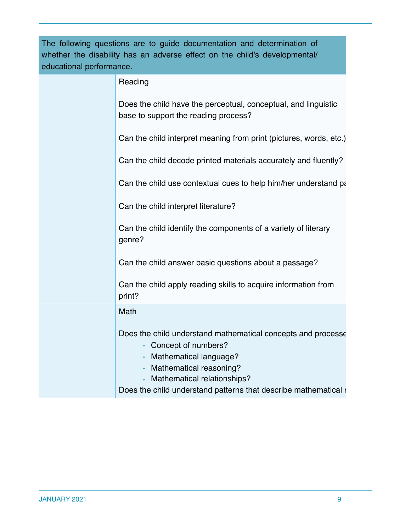| The following questions are to guide documentation and determination of<br>whether the disability has an adverse effect on the child's developmental/<br>educational performance. |                                                                                                                                                                                                                                            |
|-----------------------------------------------------------------------------------------------------------------------------------------------------------------------------------|--------------------------------------------------------------------------------------------------------------------------------------------------------------------------------------------------------------------------------------------|
|                                                                                                                                                                                   | Reading                                                                                                                                                                                                                                    |
|                                                                                                                                                                                   | Does the child have the perceptual, conceptual, and linguistic<br>base to support the reading process?                                                                                                                                     |
|                                                                                                                                                                                   | Can the child interpret meaning from print (pictures, words, etc.)                                                                                                                                                                         |
|                                                                                                                                                                                   | Can the child decode printed materials accurately and fluently?                                                                                                                                                                            |
|                                                                                                                                                                                   | Can the child use contextual cues to help him/her understand part                                                                                                                                                                          |
|                                                                                                                                                                                   | Can the child interpret literature?                                                                                                                                                                                                        |
|                                                                                                                                                                                   | Can the child identify the components of a variety of literary<br>genre?                                                                                                                                                                   |
|                                                                                                                                                                                   | Can the child answer basic questions about a passage?                                                                                                                                                                                      |
|                                                                                                                                                                                   | Can the child apply reading skills to acquire information from<br>print?                                                                                                                                                                   |
|                                                                                                                                                                                   | Math                                                                                                                                                                                                                                       |
|                                                                                                                                                                                   | Does the child understand mathematical concepts and processe<br>Concept of numbers?<br>Mathematical language?<br>Mathematical reasoning?<br>Mathematical relationships?<br>Does the child understand patterns that describe mathematical r |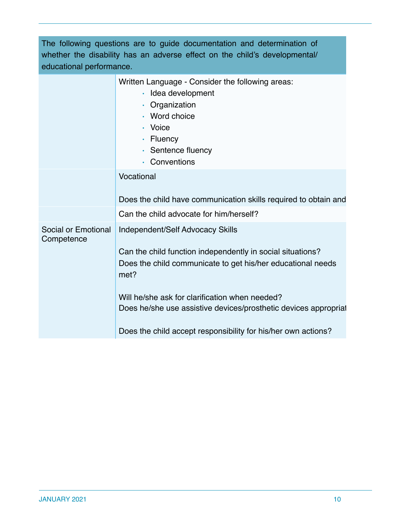| The following questions are to guide documentation and determination of<br>whether the disability has an adverse effect on the child's developmental/<br>educational performance. |                                                                                                                                                                                                                                                                                                                                                             |  |
|-----------------------------------------------------------------------------------------------------------------------------------------------------------------------------------|-------------------------------------------------------------------------------------------------------------------------------------------------------------------------------------------------------------------------------------------------------------------------------------------------------------------------------------------------------------|--|
|                                                                                                                                                                                   | Written Language - Consider the following areas:<br>· Idea development<br>• Organization<br>• Word choice<br>• Voice<br>$\cdot$ Fluency<br>• Sentence fluency<br>• Conventions                                                                                                                                                                              |  |
|                                                                                                                                                                                   | Vocational<br>Does the child have communication skills required to obtain and                                                                                                                                                                                                                                                                               |  |
|                                                                                                                                                                                   | Can the child advocate for him/herself?                                                                                                                                                                                                                                                                                                                     |  |
| Social or Emotional<br>Competence                                                                                                                                                 | Independent/Self Advocacy Skills<br>Can the child function independently in social situations?<br>Does the child communicate to get his/her educational needs<br>met?<br>Will he/she ask for clarification when needed?<br>Does he/she use assistive devices/prosthetic devices appropriat<br>Does the child accept responsibility for his/her own actions? |  |
|                                                                                                                                                                                   |                                                                                                                                                                                                                                                                                                                                                             |  |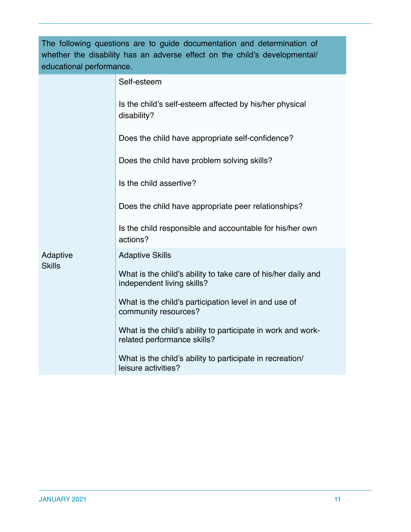| The following questions are to guide documentation and determination of<br>whether the disability has an adverse effect on the child's developmental/<br>educational performance. |                                                                                             |
|-----------------------------------------------------------------------------------------------------------------------------------------------------------------------------------|---------------------------------------------------------------------------------------------|
|                                                                                                                                                                                   | Self-esteem                                                                                 |
|                                                                                                                                                                                   | Is the child's self-esteem affected by his/her physical<br>disability?                      |
|                                                                                                                                                                                   | Does the child have appropriate self-confidence?                                            |
|                                                                                                                                                                                   | Does the child have problem solving skills?                                                 |
|                                                                                                                                                                                   | Is the child assertive?                                                                     |
|                                                                                                                                                                                   | Does the child have appropriate peer relationships?                                         |
|                                                                                                                                                                                   | Is the child responsible and accountable for his/her own<br>actions?                        |
| Adaptive<br><b>Skills</b>                                                                                                                                                         | <b>Adaptive Skills</b>                                                                      |
|                                                                                                                                                                                   | What is the child's ability to take care of his/her daily and<br>independent living skills? |
|                                                                                                                                                                                   | What is the child's participation level in and use of<br>community resources?               |
|                                                                                                                                                                                   | What is the child's ability to participate in work and work-<br>related performance skills? |
|                                                                                                                                                                                   | What is the child's ability to participate in recreation/<br>leisure activities?            |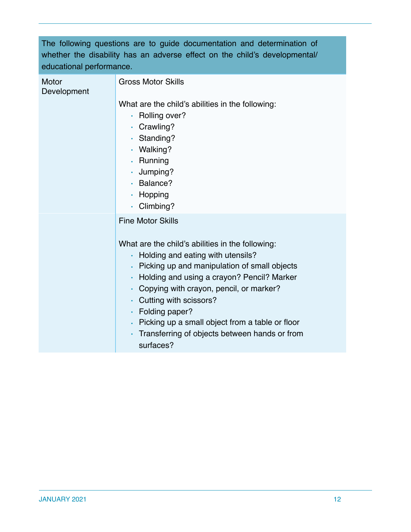|                          | The following questions are to quide documentation and determination of    |
|--------------------------|----------------------------------------------------------------------------|
|                          | whether the disability has an adverse effect on the child's developmental/ |
| educational performance. |                                                                            |

| Motor<br>Development | <b>Gross Motor Skills</b>                                                                                                                                                                                                                              |
|----------------------|--------------------------------------------------------------------------------------------------------------------------------------------------------------------------------------------------------------------------------------------------------|
|                      | What are the child's abilities in the following:<br>Rolling over?<br>$\bullet$ .<br>• Crawling?<br>· Standing?<br>· Walking?                                                                                                                           |
|                      | . Running<br>· Jumping?<br>$\cdot$ Balance?<br>· Hopping<br>· Climbing?                                                                                                                                                                                |
|                      | <b>Fine Motor Skills</b><br>What are the child's abilities in the following:<br>Holding and eating with utensils?                                                                                                                                      |
|                      | • Picking up and manipulation of small objects<br>• Holding and using a crayon? Pencil? Marker<br>• Copying with crayon, pencil, or marker?<br>• Cutting with scissors?<br>$\cdot$ Folding paper?<br>• Picking up a small object from a table or floor |
|                      | Transferring of objects between hands or from<br>surfaces?                                                                                                                                                                                             |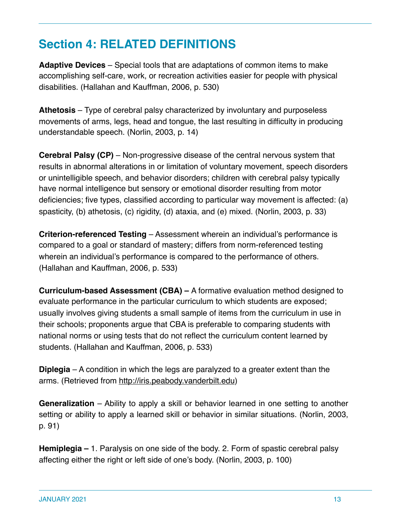# **Section 4: RELATED DEFINITIONS**

**Adaptive Devices** – Special tools that are adaptations of common items to make accomplishing self-care, work, or recreation activities easier for people with physical disabilities. (Hallahan and Kauffman, 2006, p. 530)

**Athetosis** – Type of cerebral palsy characterized by involuntary and purposeless movements of arms, legs, head and tongue, the last resulting in difficulty in producing understandable speech. (Norlin, 2003, p. 14)

**Cerebral Palsy (CP)** – Non-progressive disease of the central nervous system that results in abnormal alterations in or limitation of voluntary movement, speech disorders or unintelligible speech, and behavior disorders; children with cerebral palsy typically have normal intelligence but sensory or emotional disorder resulting from motor deficiencies; five types, classified according to particular way movement is affected: (a) spasticity, (b) athetosis, (c) rigidity, (d) ataxia, and (e) mixed. (Norlin, 2003, p. 33)

**Criterion-referenced Testing** – Assessment wherein an individual's performance is compared to a goal or standard of mastery; differs from norm-referenced testing wherein an individual's performance is compared to the performance of others. (Hallahan and Kauffman, 2006, p. 533)

**Curriculum-based Assessment (CBA) –** A formative evaluation method designed to evaluate performance in the particular curriculum to which students are exposed; usually involves giving students a small sample of items from the curriculum in use in their schools; proponents argue that CBA is preferable to comparing students with national norms or using tests that do not reflect the curriculum content learned by students. (Hallahan and Kauffman, 2006, p. 533)

**Diplegia** – A condition in which the legs are paralyzed to a greater extent than the arms. (Retrieved from http://iris.peabody.vanderbilt.edu)

**Generalization** – Ability to apply a skill or behavior learned in one setting to another setting or ability to apply a learned skill or behavior in similar situations. (Norlin, 2003, p. 91)

**Hemiplegia –** 1. Paralysis on one side of the body. 2. Form of spastic cerebral palsy affecting either the right or left side of one's body. (Norlin, 2003, p. 100)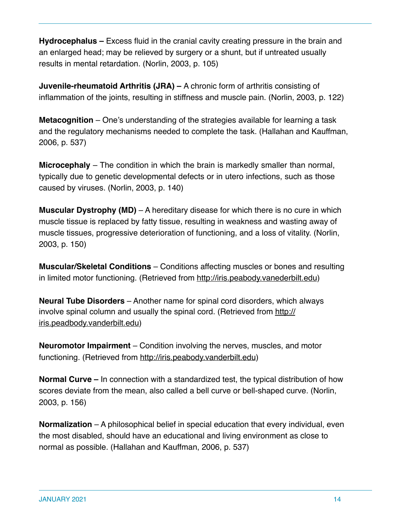**Hydrocephalus –** Excess fluid in the cranial cavity creating pressure in the brain and an enlarged head; may be relieved by surgery or a shunt, but if untreated usually results in mental retardation. (Norlin, 2003, p. 105)

**Juvenile-rheumatoid Arthritis (JRA) –** A chronic form of arthritis consisting of inflammation of the joints, resulting in stiffness and muscle pain. (Norlin, 2003, p. 122)

**Metacognition** – One's understanding of the strategies available for learning a task and the regulatory mechanisms needed to complete the task. (Hallahan and Kauffman, 2006, p. 537)

**Microcephaly** – The condition in which the brain is markedly smaller than normal, typically due to genetic developmental defects or in utero infections, such as those caused by viruses. (Norlin, 2003, p. 140)

**Muscular Dystrophy (MD)** – A hereditary disease for which there is no cure in which muscle tissue is replaced by fatty tissue, resulting in weakness and wasting away of muscle tissues, progressive deterioration of functioning, and a loss of vitality. (Norlin, 2003, p. 150)

**Muscular/Skeletal Conditions** – Conditions affecting muscles or bones and resulting in limited motor functioning. (Retrieved from http://iris.peabody.vanederbilt.edu)

**Neural Tube Disorders** – Another name for spinal cord disorders, which always involve spinal column and usually the spinal cord. (Retrieved from http:// iris.peadbody.vanderbilt.edu)

**Neuromotor Impairment** – Condition involving the nerves, muscles, and motor functioning. (Retrieved from http://iris.peabody.vanderbilt.edu)

**Normal Curve –** In connection with a standardized test, the typical distribution of how scores deviate from the mean, also called a bell curve or bell-shaped curve. (Norlin, 2003, p. 156)

**Normalization** – A philosophical belief in special education that every individual, even the most disabled, should have an educational and living environment as close to normal as possible. (Hallahan and Kauffman, 2006, p. 537)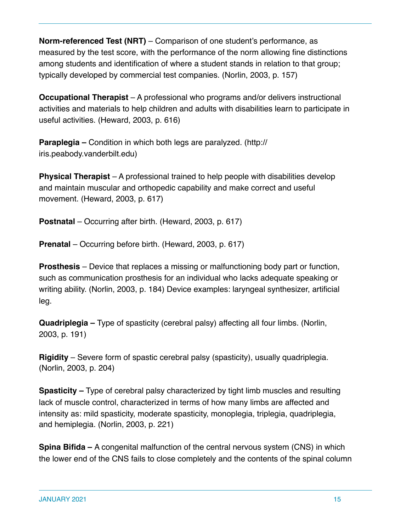**Norm-referenced Test (NRT)** – Comparison of one student's performance, as measured by the test score, with the performance of the norm allowing fine distinctions among students and identification of where a student stands in relation to that group; typically developed by commercial test companies. (Norlin, 2003, p. 157)

**Occupational Therapist** – A professional who programs and/or delivers instructional activities and materials to help children and adults with disabilities learn to participate in useful activities. (Heward, 2003, p. 616)

**Paraplegia –** Condition in which both legs are paralyzed. (http:// iris.peabody.vanderbilt.edu)

**Physical Therapist** – A professional trained to help people with disabilities develop and maintain muscular and orthopedic capability and make correct and useful movement. (Heward, 2003, p. 617)

**Postnatal** – Occurring after birth. (Heward, 2003, p. 617)

**Prenatal** – Occurring before birth. (Heward, 2003, p. 617)

**Prosthesis** – Device that replaces a missing or malfunctioning body part or function, such as communication prosthesis for an individual who lacks adequate speaking or writing ability. (Norlin, 2003, p. 184) Device examples: laryngeal synthesizer, artificial leg.

**Quadriplegia –** Type of spasticity (cerebral palsy) affecting all four limbs. (Norlin, 2003, p. 191)

**Rigidity** – Severe form of spastic cerebral palsy (spasticity), usually quadriplegia. (Norlin, 2003, p. 204)

**Spasticity –** Type of cerebral palsy characterized by tight limb muscles and resulting lack of muscle control, characterized in terms of how many limbs are affected and intensity as: mild spasticity, moderate spasticity, monoplegia, triplegia, quadriplegia, and hemiplegia. (Norlin, 2003, p. 221)

**Spina Bifida –** A congenital malfunction of the central nervous system (CNS) in which the lower end of the CNS fails to close completely and the contents of the spinal column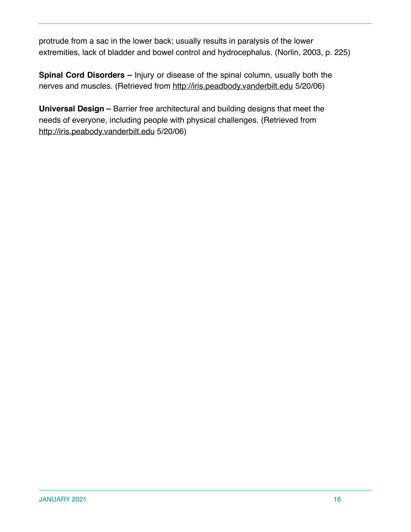protrude from a sac in the lower back; usually results in paralysis of the lower extremities, lack of bladder and bowel control and hydrocephalus. (Norlin, 2003, p. 225)

**Spinal Cord Disorders –** Injury or disease of the spinal column, usually both the nerves and muscles. (Retrieved from http://iris.peadbody.vanderbilt.edu 5/20/06)

**Universal Design –** Barrier free architectural and building designs that meet the needs of everyone, including people with physical challenges. (Retrieved from http://iris.peabody.vanderbilt.edu 5/20/06)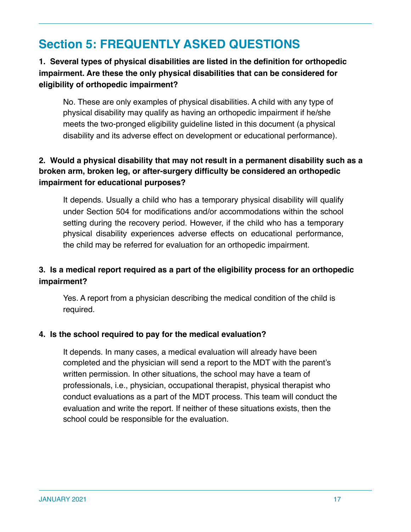## **Section 5: FREQUENTLY ASKED QUESTIONS**

## **1. Several types of physical disabilities are listed in the definition for orthopedic impairment. Are these the only physical disabilities that can be considered for eligibility of orthopedic impairment?**

No. These are only examples of physical disabilities. A child with any type of physical disability may qualify as having an orthopedic impairment if he/she meets the two-pronged eligibility guideline listed in this document (a physical disability and its adverse effect on development or educational performance).

#### **2. Would a physical disability that may not result in a permanent disability such as a broken arm, broken leg, or after-surgery difficulty be considered an orthopedic impairment for educational purposes?**

It depends. Usually a child who has a temporary physical disability will qualify under Section 504 for modifications and/or accommodations within the school setting during the recovery period. However, if the child who has a temporary physical disability experiences adverse effects on educational performance, the child may be referred for evaluation for an orthopedic impairment.

### **3. Is a medical report required as a part of the eligibility process for an orthopedic impairment?**

Yes. A report from a physician describing the medical condition of the child is required.

#### **4. Is the school required to pay for the medical evaluation?**

It depends. In many cases, a medical evaluation will already have been completed and the physician will send a report to the MDT with the parent's written permission. In other situations, the school may have a team of professionals, i.e., physician, occupational therapist, physical therapist who conduct evaluations as a part of the MDT process. This team will conduct the evaluation and write the report. If neither of these situations exists, then the school could be responsible for the evaluation.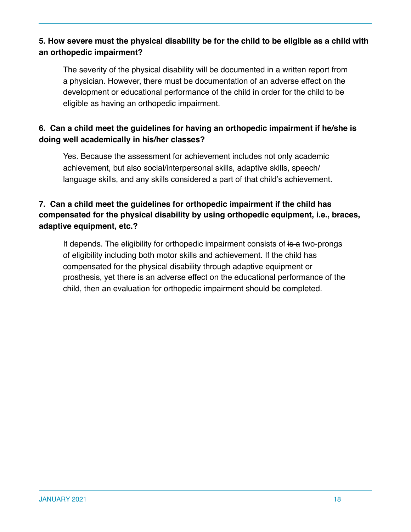### **5. How severe must the physical disability be for the child to be eligible as a child with an orthopedic impairment?**

The severity of the physical disability will be documented in a written report from a physician. However, there must be documentation of an adverse effect on the development or educational performance of the child in order for the child to be eligible as having an orthopedic impairment.

### **6. Can a child meet the guidelines for having an orthopedic impairment if he/she is doing well academically in his/her classes?**

Yes. Because the assessment for achievement includes not only academic achievement, but also social/interpersonal skills, adaptive skills, speech/ language skills, and any skills considered a part of that child's achievement.

#### **7. Can a child meet the guidelines for orthopedic impairment if the child has compensated for the physical disability by using orthopedic equipment, i.e., braces, adaptive equipment, etc.?**

It depends. The eligibility for orthopedic impairment consists of is a two-prongs of eligibility including both motor skills and achievement. If the child has compensated for the physical disability through adaptive equipment or prosthesis, yet there is an adverse effect on the educational performance of the child, then an evaluation for orthopedic impairment should be completed.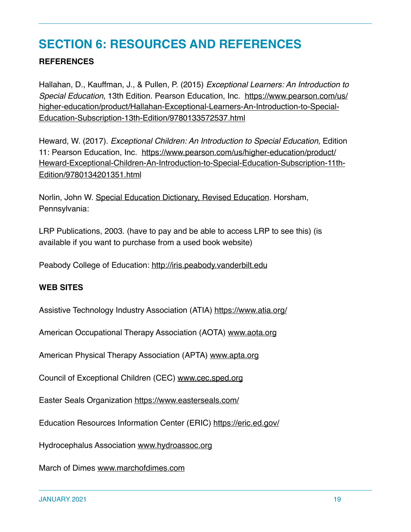## **SECTION 6: RESOURCES AND REFERENCES**

#### **REFERENCES**

Hallahan, D., Kauffman, J., & Pullen, P. (2015) *Exceptional Learners: An Introduction to Special Education*, 13th Edition. Pearson Education, Inc. [https://www.pearson.com/us/](https://www.pearson.com/us/higher-education/product/Hallahan-Exceptional-Learners-An-Introduction-to-Special-Education-Subscription-13th-Edition/9780133572537.html) [higher-education/product/Hallahan-Exceptional-Learners-An-Introduction-to-Special-](https://www.pearson.com/us/higher-education/product/Hallahan-Exceptional-Learners-An-Introduction-to-Special-Education-Subscription-13th-Edition/9780133572537.html)[Education-Subscription-13th-Edition/9780133572537.html](https://www.pearson.com/us/higher-education/product/Hallahan-Exceptional-Learners-An-Introduction-to-Special-Education-Subscription-13th-Edition/9780133572537.html)

Heward, W. (2017). *Exceptional Children: An Introduction to Special Education,* Edition 11: Pearson Education, Inc. https://www.pearson.com/us/higher-education/product/ Heward-Exceptional-Children-An-Introduction-to-Special-Education-Subscription-11th-Edition/9780134201351.html

Norlin, John W. Special Education Dictionary, Revised Education. Horsham, Pennsylvania:

LRP Publications, 2003. (have to pay and be able to access LRP to see this) (is available if you want to purchase from a used book website)

Peabody College of Education: http://iris.peabody.vanderbilt.edu

#### **WEB SITES**

Assistive Technology Industry Association (ATIA)<https://www.atia.org/>

American Occupational Therapy Association (AOTA) www.aota.org

American Physical Therapy Association (APTA) www.apta.org

Council of Exceptional Children (CEC) www.cec.sped.org

Easter Seals Organization<https://www.easterseals.com/>

Education Resources Information Center (ERIC)<https://eric.ed.gov/>

Hydrocephalus Association www.hydroassoc.org

March of Dimes www.marchofdimes.com